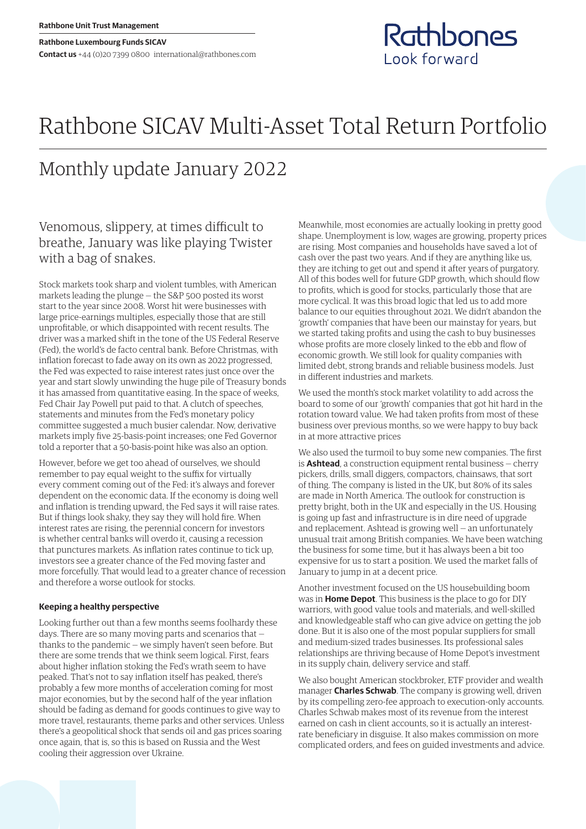# Rathbone SICAV Multi-Asset Total Return Portfolio

# Monthly update January 2022

Venomous, slippery, at times difficult to breathe, January was like playing Twister with a bag of snakes.

Stock markets took sharp and violent tumbles, with American markets leading the plunge — the S&P 500 posted its worst start to the year since 2008. Worst hit were businesses with large price-earnings multiples, especially those that are still unprofitable, or which disappointed with recent results. The driver was a marked shift in the tone of the US Federal Reserve (Fed), the world's de facto central bank. Before Christmas, with inflation forecast to fade away on its own as 2022 progressed, the Fed was expected to raise interest rates just once over the year and start slowly unwinding the huge pile of Treasury bonds it has amassed from quantitative easing. In the space of weeks, Fed Chair Jay Powell put paid to that. A clutch of speeches, statements and minutes from the Fed's monetary policy committee suggested a much busier calendar. Now, derivative markets imply five 25-basis-point increases; one Fed Governor told a reporter that a 50-basis-point hike was also an option.

However, before we get too ahead of ourselves, we should remember to pay equal weight to the suffix for virtually every comment coming out of the Fed: it's always and forever dependent on the economic data. If the economy is doing well and inflation is trending upward, the Fed says it will raise rates. But if things look shaky, they say they will hold fire. When interest rates are rising, the perennial concern for investors is whether central banks will overdo it, causing a recession that punctures markets. As inflation rates continue to tick up, investors see a greater chance of the Fed moving faster and more forcefully. That would lead to a greater chance of recession and therefore a worse outlook for stocks.

## **Keeping a healthy perspective**

Looking further out than a few months seems foolhardy these days. There are so many moving parts and scenarios that thanks to the pandemic — we simply haven't seen before. But there are some trends that we think seem logical. First, fears about higher inflation stoking the Fed's wrath seem to have peaked. That's not to say inflation itself has peaked, there's probably a few more months of acceleration coming for most major economies, but by the second half of the year inflation should be fading as demand for goods continues to give way to more travel, restaurants, theme parks and other services. Unless there's a geopolitical shock that sends oil and gas prices soaring once again, that is, so this is based on Russia and the West cooling their aggression over Ukraine.

Meanwhile, most economies are actually looking in pretty good shape. Unemployment is low, wages are growing, property prices are rising. Most companies and households have saved a lot of cash over the past two years. And if they are anything like us, they are itching to get out and spend it after years of purgatory. All of this bodes well for future GDP growth, which should flow to profits, which is good for stocks, particularly those that are more cyclical. It was this broad logic that led us to add more balance to our equities throughout 2021. We didn't abandon the 'growth' companies that have been our mainstay for years, but we started taking profits and using the cash to buy businesses whose profits are more closely linked to the ebb and flow of economic growth. We still look for quality companies with limited debt, strong brands and reliable business models. Just in different industries and markets.

Rathbones

Look forward

We used the month's stock market volatility to add across the board to some of our 'growth' companies that got hit hard in the rotation toward value. We had taken profits from most of these business over previous months, so we were happy to buy back in at more attractive prices

We also used the turmoil to buy some new companies. The first is **Ashtead**, a construction equipment rental business — cherry pickers, drills, small diggers, compactors, chainsaws, that sort of thing. The company is listed in the UK, but 80% of its sales are made in North America. The outlook for construction is pretty bright, both in the UK and especially in the US. Housing is going up fast and infrastructure is in dire need of upgrade and replacement. Ashtead is growing well — an unfortunately unusual trait among British companies. We have been watching the business for some time, but it has always been a bit too expensive for us to start a position. We used the market falls of January to jump in at a decent price.

Another investment focused on the US housebuilding boom was in **Home Depot**. This business is the place to go for DIY warriors, with good value tools and materials, and well-skilled and knowledgeable staff who can give advice on getting the job done. But it is also one of the most popular suppliers for small and medium-sized trades businesses. Its professional sales relationships are thriving because of Home Depot's investment in its supply chain, delivery service and staff.

We also bought American stockbroker, ETF provider and wealth manager **Charles Schwab**. The company is growing well, driven by its compelling zero-fee approach to execution-only accounts. Charles Schwab makes most of its revenue from the interest earned on cash in client accounts, so it is actually an interestrate beneficiary in disguise. It also makes commission on more complicated orders, and fees on guided investments and advice.